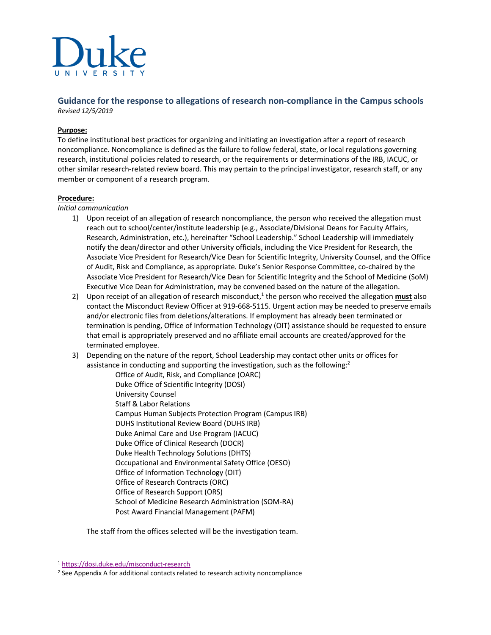

# **Guidance for the response to allegations of research non-compliance in the Campus schools** *Revised 12/5/2019*

#### **Purpose:**

To define institutional best practices for organizing and initiating an investigation after a report of research noncompliance. Noncompliance is defined as the failure to follow federal, state, or local regulations governing research, institutional policies related to research, or the requirements or determinations of the IRB, IACUC, or other similar research-related review board. This may pertain to the principal investigator, research staff, or any member or component of a research program.

#### **Procedure:**

#### *Initial communication*

- 1) Upon receipt of an allegation of research noncompliance, the person who received the allegation must reach out to school/center/institute leadership (e.g., Associate/Divisional Deans for Faculty Affairs, Research, Administration, etc.), hereinafter "School Leadership." School Leadership will immediately notify the dean/director and other University officials, including the Vice President for Research, the Associate Vice President for Research/Vice Dean for Scientific Integrity, University Counsel, and the Office of Audit, Risk and Compliance, as appropriate. Duke's Senior Response Committee, co-chaired by the Associate Vice President for Research/Vice Dean for Scientific Integrity and the School of Medicine (SoM) Executive Vice Dean for Administration, may be convened based on the nature of the allegation.
- 2) Upon receipt of an allegation of research misconduct, <sup>1</sup> the person who received the allegation **must** also contact the Misconduct Review Officer at 919-668-5115. Urgent action may be needed to preserve emails and/or electronic files from deletions/alterations. If employment has already been terminated or termination is pending, Office of Information Technology (OIT) assistance should be requested to ensure that email is appropriately preserved and no affiliate email accounts are created/approved for the terminated employee.
- 3) Depending on the nature of the report, School Leadership may contact other units or offices for assistance in conducting and supporting the investigation, such as the following:<sup>2</sup>
	- Office of Audit, Risk, and Compliance (OARC) Duke Office of Scientific Integrity (DOSI) University Counsel Staff & Labor Relations Campus Human Subjects Protection Program (Campus IRB) DUHS Institutional Review Board (DUHS IRB) Duke Animal Care and Use Program (IACUC) Duke Office of Clinical Research (DOCR) Duke Health Technology Solutions (DHTS) Occupational and Environmental Safety Office (OESO) Office of Information Technology (OIT) Office of Research Contracts (ORC) Office of Research Support (ORS) School of Medicine Research Administration (SOM-RA) Post Award Financial Management (PAFM)

The staff from the offices selected will be the investigation team.

<sup>1</sup> https://dosi.duke.edu/misconduct-research

<sup>&</sup>lt;sup>2</sup> See Appendix A for additional contacts related to research activity noncompliance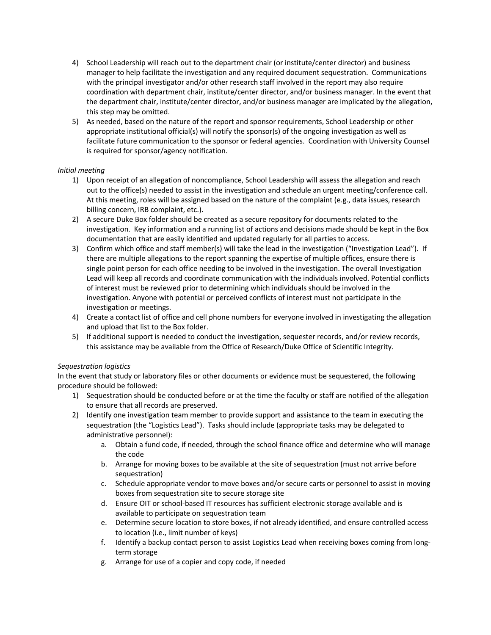- 4) School Leadership will reach out to the department chair (or institute/center director) and business manager to help facilitate the investigation and any required document sequestration. Communications with the principal investigator and/or other research staff involved in the report may also require coordination with department chair, institute/center director, and/or business manager. In the event that the department chair, institute/center director, and/or business manager are implicated by the allegation, this step may be omitted.
- 5) As needed, based on the nature of the report and sponsor requirements, School Leadership or other appropriate institutional official(s) will notify the sponsor(s) of the ongoing investigation as well as facilitate future communication to the sponsor or federal agencies. Coordination with University Counsel is required for sponsor/agency notification.

## *Initial meeting*

- 1) Upon receipt of an allegation of noncompliance, School Leadership will assess the allegation and reach out to the office(s) needed to assist in the investigation and schedule an urgent meeting/conference call. At this meeting, roles will be assigned based on the nature of the complaint (e.g., data issues, research billing concern, IRB complaint, etc.).
- 2) A secure Duke Box folder should be created as a secure repository for documents related to the investigation. Key information and a running list of actions and decisions made should be kept in the Box documentation that are easily identified and updated regularly for all parties to access.
- 3) Confirm which office and staff member(s) will take the lead in the investigation ("Investigation Lead"). If there are multiple allegations to the report spanning the expertise of multiple offices, ensure there is single point person for each office needing to be involved in the investigation. The overall Investigation Lead will keep all records and coordinate communication with the individuals involved. Potential conflicts of interest must be reviewed prior to determining which individuals should be involved in the investigation. Anyone with potential or perceived conflicts of interest must not participate in the investigation or meetings.
- 4) Create a contact list of office and cell phone numbers for everyone involved in investigating the allegation and upload that list to the Box folder.
- 5) If additional support is needed to conduct the investigation, sequester records, and/or review records, this assistance may be available from the Office of Research/Duke Office of Scientific Integrity.

### *Sequestration logistics*

In the event that study or laboratory files or other documents or evidence must be sequestered, the following procedure should be followed:

- 1) Sequestration should be conducted before or at the time the faculty or staff are notified of the allegation to ensure that all records are preserved.
- 2) Identify one investigation team member to provide support and assistance to the team in executing the sequestration (the "Logistics Lead"). Tasks should include (appropriate tasks may be delegated to administrative personnel):
	- a. Obtain a fund code, if needed, through the school finance office and determine who will manage the code
	- b. Arrange for moving boxes to be available at the site of sequestration (must not arrive before sequestration)
	- c. Schedule appropriate vendor to move boxes and/or secure carts or personnel to assist in moving boxes from sequestration site to secure storage site
	- d. Ensure OIT or school-based IT resources has sufficient electronic storage available and is available to participate on sequestration team
	- e. Determine secure location to store boxes, if not already identified, and ensure controlled access to location (i.e., limit number of keys)
	- f. Identify a backup contact person to assist Logistics Lead when receiving boxes coming from longterm storage
	- g. Arrange for use of a copier and copy code, if needed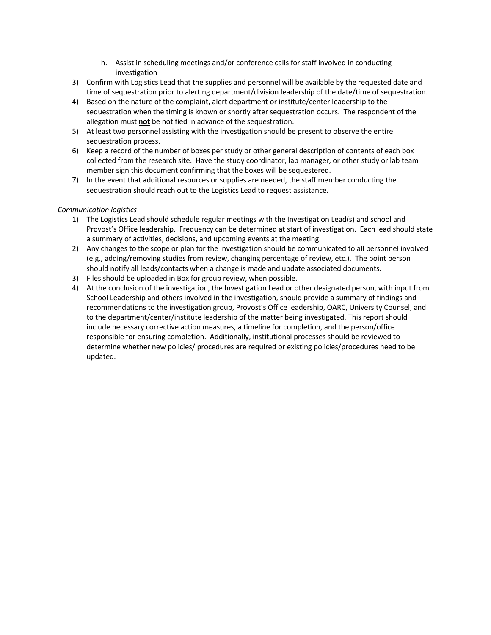- h. Assist in scheduling meetings and/or conference calls for staff involved in conducting investigation
- 3) Confirm with Logistics Lead that the supplies and personnel will be available by the requested date and time of sequestration prior to alerting department/division leadership of the date/time of sequestration.
- 4) Based on the nature of the complaint, alert department or institute/center leadership to the sequestration when the timing is known or shortly after sequestration occurs. The respondent of the allegation must **not** be notified in advance of the sequestration.
- 5) At least two personnel assisting with the investigation should be present to observe the entire sequestration process.
- 6) Keep a record of the number of boxes per study or other general description of contents of each box collected from the research site. Have the study coordinator, lab manager, or other study or lab team member sign this document confirming that the boxes will be sequestered.
- 7) In the event that additional resources or supplies are needed, the staff member conducting the sequestration should reach out to the Logistics Lead to request assistance.

## *Communication logistics*

- 1) The Logistics Lead should schedule regular meetings with the Investigation Lead(s) and school and Provost's Office leadership. Frequency can be determined at start of investigation. Each lead should state a summary of activities, decisions, and upcoming events at the meeting.
- 2) Any changes to the scope or plan for the investigation should be communicated to all personnel involved (e.g., adding/removing studies from review, changing percentage of review, etc.). The point person should notify all leads/contacts when a change is made and update associated documents.
- 3) Files should be uploaded in Box for group review, when possible.
- 4) At the conclusion of the investigation, the Investigation Lead or other designated person, with input from School Leadership and others involved in the investigation, should provide a summary of findings and recommendations to the investigation group, Provost's Office leadership, OARC, University Counsel, and to the department/center/institute leadership of the matter being investigated. This report should include necessary corrective action measures, a timeline for completion, and the person/office responsible for ensuring completion. Additionally, institutional processes should be reviewed to determine whether new policies/ procedures are required or existing policies/procedures need to be updated.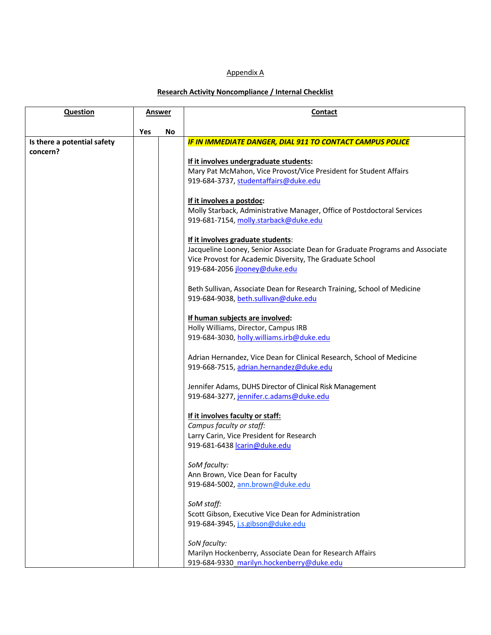# Appendix A

# **Research Activity Noncompliance / Internal Checklist**

| Question                    | <b>Answer</b> |           | Contact                                                                      |
|-----------------------------|---------------|-----------|------------------------------------------------------------------------------|
|                             |               |           |                                                                              |
| Is there a potential safety | Yes           | <b>No</b> | IF IN IMMEDIATE DANGER, DIAL 911 TO CONTACT CAMPUS POLICE                    |
| concern?                    |               |           |                                                                              |
|                             |               |           | If it involves undergraduate students:                                       |
|                             |               |           | Mary Pat McMahon, Vice Provost/Vice President for Student Affairs            |
|                             |               |           | 919-684-3737, studentaffairs@duke.edu                                        |
|                             |               |           |                                                                              |
|                             |               |           | If it involves a postdoc:                                                    |
|                             |               |           | Molly Starback, Administrative Manager, Office of Postdoctoral Services      |
|                             |               |           | 919-681-7154, molly.starback@duke.edu                                        |
|                             |               |           | If it involves graduate students:                                            |
|                             |               |           | Jacqueline Looney, Senior Associate Dean for Graduate Programs and Associate |
|                             |               |           | Vice Provost for Academic Diversity, The Graduate School                     |
|                             |               |           | 919-684-2056 jlooney@duke.edu                                                |
|                             |               |           | Beth Sullivan, Associate Dean for Research Training, School of Medicine      |
|                             |               |           | 919-684-9038, beth.sullivan@duke.edu                                         |
|                             |               |           |                                                                              |
|                             |               |           | If human subjects are involved:                                              |
|                             |               |           | Holly Williams, Director, Campus IRB                                         |
|                             |               |           | 919-684-3030, holly.williams.irb@duke.edu                                    |
|                             |               |           | Adrian Hernandez, Vice Dean for Clinical Research, School of Medicine        |
|                             |               |           | 919-668-7515, adrian.hernandez@duke.edu                                      |
|                             |               |           | Jennifer Adams, DUHS Director of Clinical Risk Management                    |
|                             |               |           | 919-684-3277, jennifer.c.adams@duke.edu                                      |
|                             |               |           |                                                                              |
|                             |               |           | If it involves faculty or staff:                                             |
|                             |               |           | Campus faculty or staff:                                                     |
|                             |               |           | Larry Carin, Vice President for Research                                     |
|                             |               |           | 919-681-6438 carin@duke.edu                                                  |
|                             |               |           | SoM faculty:                                                                 |
|                             |               |           | Ann Brown, Vice Dean for Faculty                                             |
|                             |               |           | 919-684-5002, ann.brown@duke.edu                                             |
|                             |               |           | SoM staff:                                                                   |
|                             |               |           | Scott Gibson, Executive Vice Dean for Administration                         |
|                             |               |           | 919-684-3945, j.s.gibson@duke.edu                                            |
|                             |               |           | SoN faculty:                                                                 |
|                             |               |           | Marilyn Hockenberry, Associate Dean for Research Affairs                     |
|                             |               |           | 919-684-9330 marilyn.hockenberry@duke.edu                                    |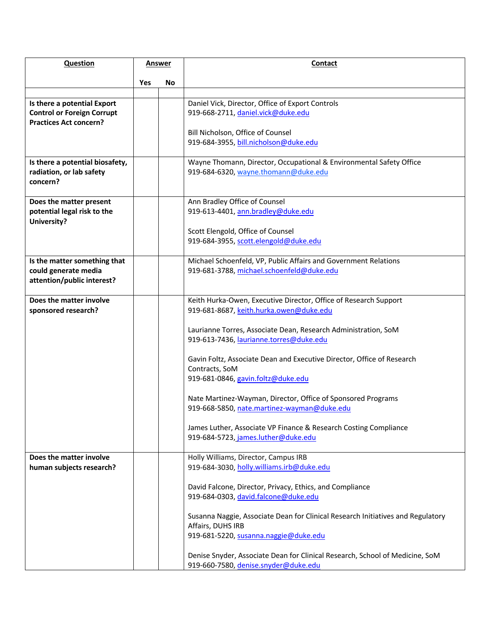| <b>Question</b>                                                                                   | <b>Answer</b> |     | Contact                                                                                                                                                                       |
|---------------------------------------------------------------------------------------------------|---------------|-----|-------------------------------------------------------------------------------------------------------------------------------------------------------------------------------|
|                                                                                                   | <b>Yes</b>    | No. |                                                                                                                                                                               |
|                                                                                                   |               |     |                                                                                                                                                                               |
| Is there a potential Export<br><b>Control or Foreign Corrupt</b><br><b>Practices Act concern?</b> |               |     | Daniel Vick, Director, Office of Export Controls<br>919-668-2711, daniel.vick@duke.edu                                                                                        |
|                                                                                                   |               |     | Bill Nicholson, Office of Counsel<br>919-684-3955, bill.nicholson@duke.edu                                                                                                    |
| Is there a potential biosafety,<br>radiation, or lab safety<br>concern?                           |               |     | Wayne Thomann, Director, Occupational & Environmental Safety Office<br>919-684-6320, wayne.thomann@duke.edu                                                                   |
| Does the matter present<br>potential legal risk to the<br>University?                             |               |     | Ann Bradley Office of Counsel<br>919-613-4401, ann.bradley@duke.edu<br>Scott Elengold, Office of Counsel                                                                      |
|                                                                                                   |               |     | 919-684-3955, scott.elengold@duke.edu                                                                                                                                         |
| Is the matter something that<br>could generate media<br>attention/public interest?                |               |     | Michael Schoenfeld, VP, Public Affairs and Government Relations<br>919-681-3788, michael.schoenfeld@duke.edu                                                                  |
| Does the matter involve<br>sponsored research?                                                    |               |     | Keith Hurka-Owen, Executive Director, Office of Research Support<br>919-681-8687, keith.hurka.owen@duke.edu<br>Laurianne Torres, Associate Dean, Research Administration, SoM |
|                                                                                                   |               |     | 919-613-7436, laurianne.torres@duke.edu<br>Gavin Foltz, Associate Dean and Executive Director, Office of Research<br>Contracts, SoM<br>919-681-0846, gavin.foltz@duke.edu     |
|                                                                                                   |               |     | Nate Martinez-Wayman, Director, Office of Sponsored Programs<br>919-668-5850, nate.martinez-wayman@duke.edu                                                                   |
|                                                                                                   |               |     | James Luther, Associate VP Finance & Research Costing Compliance<br>919-684-5723, james.luther@duke.edu                                                                       |
| Does the matter involve<br>human subjects research?                                               |               |     | Holly Williams, Director, Campus IRB<br>919-684-3030, holly.williams.irb@duke.edu                                                                                             |
|                                                                                                   |               |     | David Falcone, Director, Privacy, Ethics, and Compliance<br>919-684-0303, david.falcone@duke.edu                                                                              |
|                                                                                                   |               |     | Susanna Naggie, Associate Dean for Clinical Research Initiatives and Regulatory<br>Affairs, DUHS IRB<br>919-681-5220, susanna.naggie@duke.edu                                 |
|                                                                                                   |               |     | Denise Snyder, Associate Dean for Clinical Research, School of Medicine, SoM<br>919-660-7580, denise.snyder@duke.edu                                                          |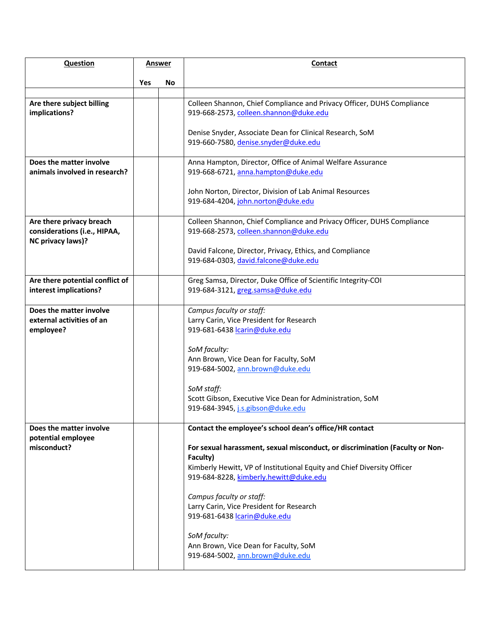| <b>Question</b>                                                   | <u>Answer</u> |           | Contact                                                                                                                                                                                                       |
|-------------------------------------------------------------------|---------------|-----------|---------------------------------------------------------------------------------------------------------------------------------------------------------------------------------------------------------------|
|                                                                   |               |           |                                                                                                                                                                                                               |
|                                                                   | Yes           | <b>No</b> |                                                                                                                                                                                                               |
| Are there subject billing<br>implications?                        |               |           | Colleen Shannon, Chief Compliance and Privacy Officer, DUHS Compliance<br>919-668-2573, colleen.shannon@duke.edu                                                                                              |
|                                                                   |               |           | Denise Snyder, Associate Dean for Clinical Research, SoM<br>919-660-7580, denise.snyder@duke.edu                                                                                                              |
| Does the matter involve<br>animals involved in research?          |               |           | Anna Hampton, Director, Office of Animal Welfare Assurance<br>919-668-6721, anna.hampton@duke.edu                                                                                                             |
|                                                                   |               |           | John Norton, Director, Division of Lab Animal Resources<br>919-684-4204, john.norton@duke.edu                                                                                                                 |
| Are there privacy breach<br>considerations (i.e., HIPAA,          |               |           | Colleen Shannon, Chief Compliance and Privacy Officer, DUHS Compliance<br>919-668-2573, colleen.shannon@duke.edu                                                                                              |
| NC privacy laws)?                                                 |               |           | David Falcone, Director, Privacy, Ethics, and Compliance<br>919-684-0303, david.falcone@duke.edu                                                                                                              |
| Are there potential conflict of<br>interest implications?         |               |           | Greg Samsa, Director, Duke Office of Scientific Integrity-COI<br>919-684-3121, greg.samsa@duke.edu                                                                                                            |
| Does the matter involve<br>external activities of an<br>employee? |               |           | Campus faculty or staff:<br>Larry Carin, Vice President for Research<br>919-681-6438 carin@duke.edu                                                                                                           |
|                                                                   |               |           | SoM faculty:<br>Ann Brown, Vice Dean for Faculty, SoM<br>919-684-5002, ann.brown@duke.edu                                                                                                                     |
|                                                                   |               |           | SoM staff:<br>Scott Gibson, Executive Vice Dean for Administration, SoM<br>919-684-3945, j.s.gibson@duke.edu                                                                                                  |
| Does the matter involve                                           |               |           | Contact the employee's school dean's office/HR contact                                                                                                                                                        |
| potential employee<br>misconduct?                                 |               |           | For sexual harassment, sexual misconduct, or discrimination (Faculty or Non-<br>Faculty)<br>Kimberly Hewitt, VP of Institutional Equity and Chief Diversity Officer<br>919-684-8228, kimberly.hewitt@duke.edu |
|                                                                   |               |           | Campus faculty or staff:<br>Larry Carin, Vice President for Research<br>919-681-6438 lcarin@duke.edu                                                                                                          |
|                                                                   |               |           | SoM faculty:<br>Ann Brown, Vice Dean for Faculty, SoM<br>919-684-5002, ann.brown@duke.edu                                                                                                                     |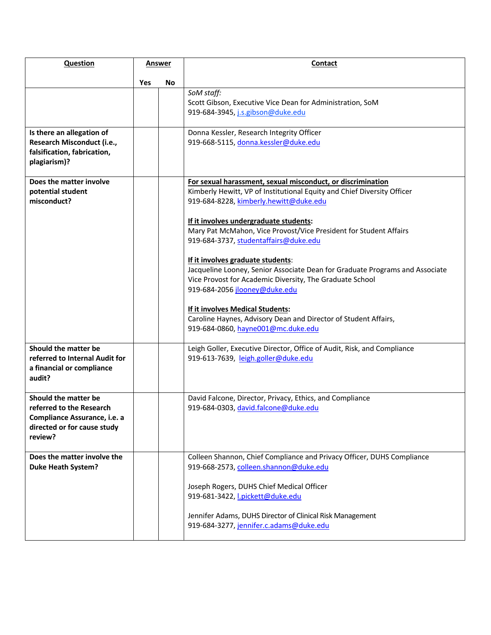| <b>Question</b>                                                                                                            | Answer |    | Contact                                                                                                                                                                                                                                                                                                                                                                                                                                                                                                                                                                                                                                                                                                 |
|----------------------------------------------------------------------------------------------------------------------------|--------|----|---------------------------------------------------------------------------------------------------------------------------------------------------------------------------------------------------------------------------------------------------------------------------------------------------------------------------------------------------------------------------------------------------------------------------------------------------------------------------------------------------------------------------------------------------------------------------------------------------------------------------------------------------------------------------------------------------------|
|                                                                                                                            | Yes    | No |                                                                                                                                                                                                                                                                                                                                                                                                                                                                                                                                                                                                                                                                                                         |
|                                                                                                                            |        |    | SoM staff:<br>Scott Gibson, Executive Vice Dean for Administration, SoM<br>919-684-3945, j.s.gibson@duke.edu                                                                                                                                                                                                                                                                                                                                                                                                                                                                                                                                                                                            |
| Is there an allegation of<br>Research Misconduct (i.e.,<br>falsification, fabrication,<br>plagiarism)?                     |        |    | Donna Kessler, Research Integrity Officer<br>919-668-5115, donna.kessler@duke.edu                                                                                                                                                                                                                                                                                                                                                                                                                                                                                                                                                                                                                       |
| Does the matter involve<br>potential student<br>misconduct?                                                                |        |    | For sexual harassment, sexual misconduct, or discrimination<br>Kimberly Hewitt, VP of Institutional Equity and Chief Diversity Officer<br>919-684-8228, kimberly.hewitt@duke.edu<br>If it involves undergraduate students:<br>Mary Pat McMahon, Vice Provost/Vice President for Student Affairs<br>919-684-3737, studentaffairs@duke.edu<br>If it involves graduate students:<br>Jacqueline Looney, Senior Associate Dean for Graduate Programs and Associate<br>Vice Provost for Academic Diversity, The Graduate School<br>919-684-2056 jlooney@duke.edu<br>If it involves Medical Students:<br>Caroline Haynes, Advisory Dean and Director of Student Affairs,<br>919-684-0860, hayne001@mc.duke.edu |
| Should the matter be<br>referred to Internal Audit for<br>a financial or compliance<br>audit?                              |        |    | Leigh Goller, Executive Director, Office of Audit, Risk, and Compliance<br>919-613-7639, leigh.goller@duke.edu                                                                                                                                                                                                                                                                                                                                                                                                                                                                                                                                                                                          |
| Should the matter be<br>referred to the Research<br>Compliance Assurance, i.e. a<br>directed or for cause study<br>review? |        |    | David Falcone, Director, Privacy, Ethics, and Compliance<br>919-684-0303, david.falcone@duke.edu                                                                                                                                                                                                                                                                                                                                                                                                                                                                                                                                                                                                        |
| Does the matter involve the<br><b>Duke Heath System?</b>                                                                   |        |    | Colleen Shannon, Chief Compliance and Privacy Officer, DUHS Compliance<br>919-668-2573, colleen.shannon@duke.edu<br>Joseph Rogers, DUHS Chief Medical Officer<br>919-681-3422, <i>l.pickett@duke.edu</i><br>Jennifer Adams, DUHS Director of Clinical Risk Management<br>919-684-3277, jennifer.c.adams@duke.edu                                                                                                                                                                                                                                                                                                                                                                                        |